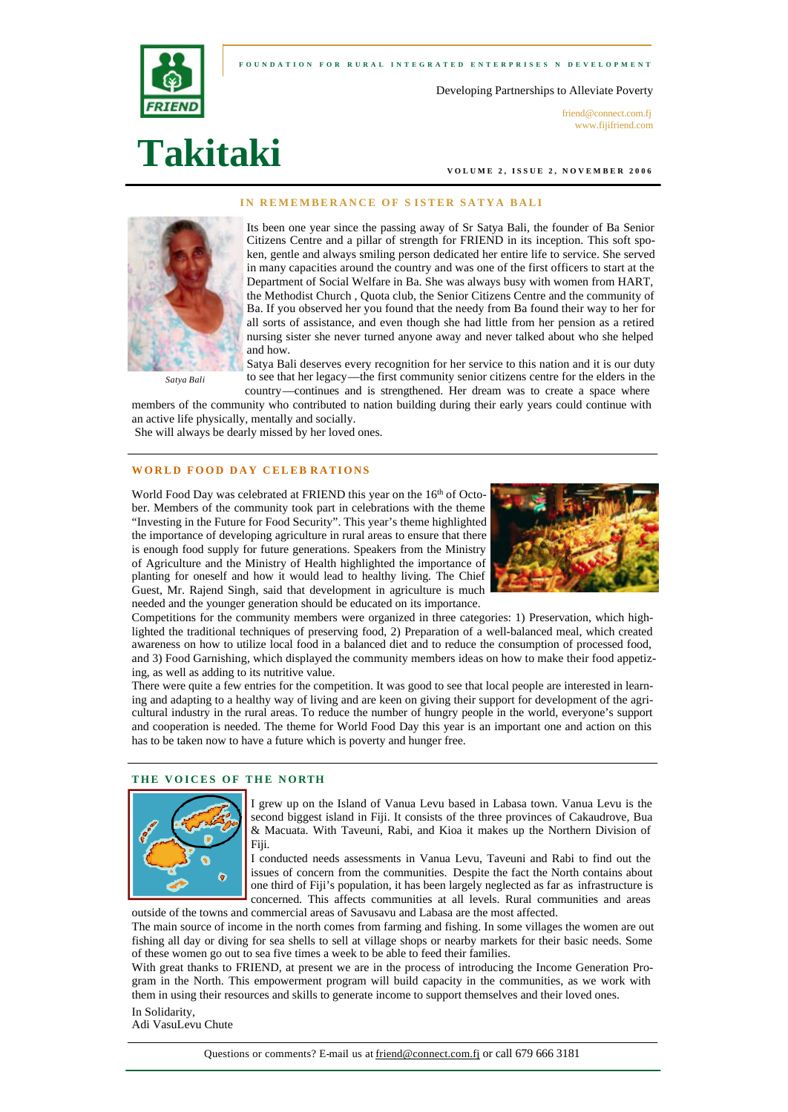**FOUNDATION FOR RURAL INTEGRATED ENTERPRI SES N DEVELOPMENT** 



Developing Partnerships to Alleviate Poverty

friend@connect.com.fi www.fijifriend.com

# **Takitaki**

**VOLUME 2, ISSUE 2, N OVEMBER 2006** 

#### **IN REMEMBERANCE OF S ISTER SATYA BALI**



Its been one year since the passing away of Sr Satya Bali, the founder of Ba Senior Citizens Centre and a pillar of strength for FRIEND in its inception. This soft spoken, gentle and always smiling person dedicated her entire life to service. She served in many capacities around the country and was one of the first officers to start at the Department of Social Welfare in Ba. She was always busy with women from HART, the Methodist Church , Quota club, the Senior Citizens Centre and the community of Ba. If you observed her you found that the needy from Ba found their way to her for all sorts of assistance, and even though she had little from her pension as a retired nursing sister she never turned anyone away and never talked about who she helped and how.

 *Satya Bali*

Satya Bali deserves every recognition for her service to this nation and it is our duty to see that her legacy—the first community senior citizens centre for the elders in the country—continues and is strengthened. Her dream was to create a space where

members of the community who contributed to nation building during their early years could continue with an active life physically, mentally and socially.

She will always be dearly missed by her loved ones.

### **WORLD FOOD DAY CELEB RATIONS**

World Food Day was celebrated at FRIEND this year on the 16<sup>th</sup> of October. Members of the community took part in celebrations with the theme "Investing in the Future for Food Security". This year's theme highlighted the importance of developing agriculture in rural areas to ensure that there is enough food supply for future generations. Speakers from the Ministry of Agriculture and the Ministry of Health highlighted the importance of planting for oneself and how it would lead to healthy living. The Chief Guest, Mr. Rajend Singh, said that development in agriculture is much needed and the younger generation should be educated on its importance.



Competitions for the community members were organized in three categories: 1) Preservation, which highlighted the traditional techniques of preserving food, 2) Preparation of a well-balanced meal, which created awareness on how to utilize local food in a balanced diet and to reduce the consumption of processed food, and 3) Food Garnishing, which displayed the community members ideas on how to make their food appetizing, as well as adding to its nutritive value.

There were quite a few entries for the competition. It was good to see that local people are interested in learning and adapting to a healthy way of living and are keen on giving their support for development of the agricultural industry in the rural areas. To reduce the number of hungry people in the world, everyone's support and cooperation is needed. The theme for World Food Day this year is an important one and action on this has to be taken now to have a future which is poverty and hunger free.

#### **THE VOICES OF THE NORTH**



I grew up on the Island of Vanua Levu based in Labasa town. Vanua Levu is the second biggest island in Fiji. It consists of the three provinces of Cakaudrove, Bua & Macuata. With Taveuni, Rabi, and Kioa it makes up the Northern Division of Fiji.

I conducted needs assessments in Vanua Levu, Taveuni and Rabi to find out the issues of concern from the communities. Despite the fact the North contains about one third of Fiji's population, it has been largely neglected as far as infrastructure is concerned. This affects communities at all levels. Rural communities and areas outside of the towns and commercial areas of Savusavu and Labasa are the most affected.

The main source of income in the north comes from farming and fishing. In some villages the women are out fishing all day or diving for sea shells to sell at village shops or nearby markets for their basic needs. Some of these women go out to sea five times a week to be able to feed their families.

With great thanks to FRIEND, at present we are in the process of introducing the Income Generation Program in the North. This empowerment program will build capacity in the communities, as we work with them in using their resources and skills to generate income to support themselves and their loved ones.

In Solidarity, Adi VasuLevu Chute